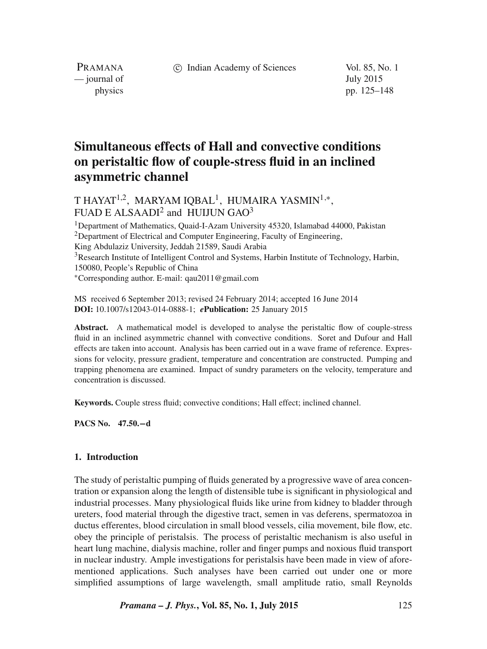c Indian Academy of Sciences Vol. 85, No. 1

PRAMANA — journal of July 2015

physics pp. 125–148

# **Simultaneous effects of Hall and convective conditions on peristaltic flow of couple-stress fluid in an inclined asymmetric channel**

# T HAYAT $^{1,2}$ , MARYAM IQBAL $^1$ , HUMAIRA YASMIN $^{1,\ast},$ FUAD E ALSAADI $^2$  and HUIJUN GAO $^3$

<sup>1</sup>Department of Mathematics, Quaid-I-Azam University 45320, Islamabad 44000, Pakistan  $2$ Department of Electrical and Computer Engineering, Faculty of Engineering, King Abdulaziz University, Jeddah 21589, Saudi Arabia <sup>3</sup>Research Institute of Intelligent Control and Systems, Harbin Institute of Technology, Harbin, 150080, People's Republic of China ∗Corresponding author. E-mail: qau2011@gmail.com

MS received 6 September 2013; revised 24 February 2014; accepted 16 June 2014 **DOI:** 10.1007/s12043-014-0888-1; *e***Publication:** 25 January 2015

**Abstract.** A mathematical model is developed to analyse the peristaltic flow of couple-stress fluid in an inclined asymmetric channel with convective conditions. Soret and Dufour and Hall effects are taken into account. Analysis has been carried out in a wave frame of reference. Expressions for velocity, pressure gradient, temperature and concentration are constructed. Pumping and trapping phenomena are examined. Impact of sundry parameters on the velocity, temperature and concentration is discussed.

**Keywords.** Couple stress fluid; convective conditions; Hall effect; inclined channel.

**PACS No. 47.50.**−**d**

#### **1. Introduction**

The study of peristaltic pumping of fluids generated by a progressive wave of area concentration or expansion along the length of distensible tube is significant in physiological and industrial processes. Many physiological fluids like urine from kidney to bladder through ureters, food material through the digestive tract, semen in vas deferens, spermatozoa in ductus efferentes, blood circulation in small blood vessels, cilia movement, bile flow, etc. obey the principle of peristalsis. The process of peristaltic mechanism is also useful in heart lung machine, dialysis machine, roller and finger pumps and noxious fluid transport in nuclear industry. Ample investigations for peristalsis have been made in view of aforementioned applications. Such analyses have been carried out under one or more simplified assumptions of large wavelength, small amplitude ratio, small Reynolds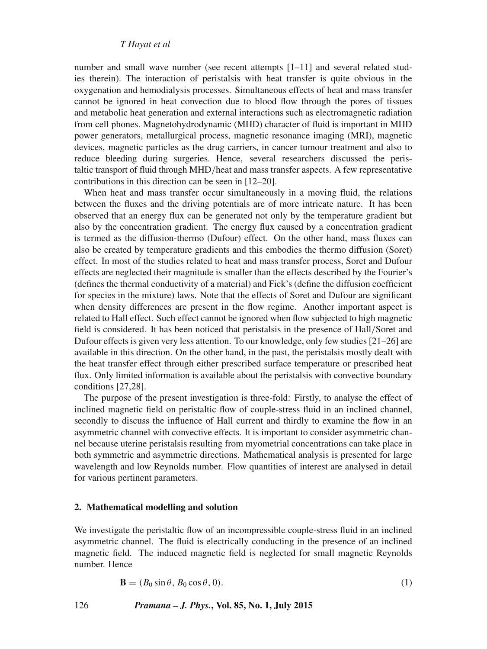number and small wave number (see recent attempts [1–11] and several related studies therein). The interaction of peristalsis with heat transfer is quite obvious in the oxygenation and hemodialysis processes. Simultaneous effects of heat and mass transfer cannot be ignored in heat convection due to blood flow through the pores of tissues and metabolic heat generation and external interactions such as electromagnetic radiation from cell phones. Magnetohydrodynamic (MHD) character of fluid is important in MHD power generators, metallurgical process, magnetic resonance imaging (MRI), magnetic devices, magnetic particles as the drug carriers, in cancer tumour treatment and also to reduce bleeding during surgeries. Hence, several researchers discussed the peristaltic transport of fluid through MHD/heat and mass transfer aspects. A few representative contributions in this direction can be seen in [12–20].

When heat and mass transfer occur simultaneously in a moving fluid, the relations between the fluxes and the driving potentials are of more intricate nature. It has been observed that an energy flux can be generated not only by the temperature gradient but also by the concentration gradient. The energy flux caused by a concentration gradient is termed as the diffusion-thermo (Dufour) effect. On the other hand, mass fluxes can also be created by temperature gradients and this embodies the thermo diffusion (Soret) effect. In most of the studies related to heat and mass transfer process, Soret and Dufour effects are neglected their magnitude is smaller than the effects described by the Fourier's (defines the thermal conductivity of a material) and Fick's (define the diffusion coefficient for species in the mixture) laws. Note that the effects of Soret and Dufour are significant when density differences are present in the flow regime. Another important aspect is related to Hall effect. Such effect cannot be ignored when flow subjected to high magnetic field is considered. It has been noticed that peristalsis in the presence of Hall/Soret and Dufour effects is given very less attention. To our knowledge, only few studies [21–26] are available in this direction. On the other hand, in the past, the peristalsis mostly dealt with the heat transfer effect through either prescribed surface temperature or prescribed heat flux. Only limited information is available about the peristalsis with convective boundary conditions [27,28].

The purpose of the present investigation is three-fold: Firstly, to analyse the effect of inclined magnetic field on peristaltic flow of couple-stress fluid in an inclined channel, secondly to discuss the influence of Hall current and thirdly to examine the flow in an asymmetric channel with convective effects. It is important to consider asymmetric channel because uterine peristalsis resulting from myometrial concentrations can take place in both symmetric and asymmetric directions. Mathematical analysis is presented for large wavelength and low Reynolds number. Flow quantities of interest are analysed in detail for various pertinent parameters.

#### **2. Mathematical modelling and solution**

We investigate the peristaltic flow of an incompressible couple-stress fluid in an inclined asymmetric channel. The fluid is electrically conducting in the presence of an inclined magnetic field. The induced magnetic field is neglected for small magnetic Reynolds number. Hence

$$
\mathbf{B} = (B_0 \sin \theta, B_0 \cos \theta, 0). \tag{1}
$$

126 *Pramana – J. Phys.***, Vol. 85, No. 1, July 2015**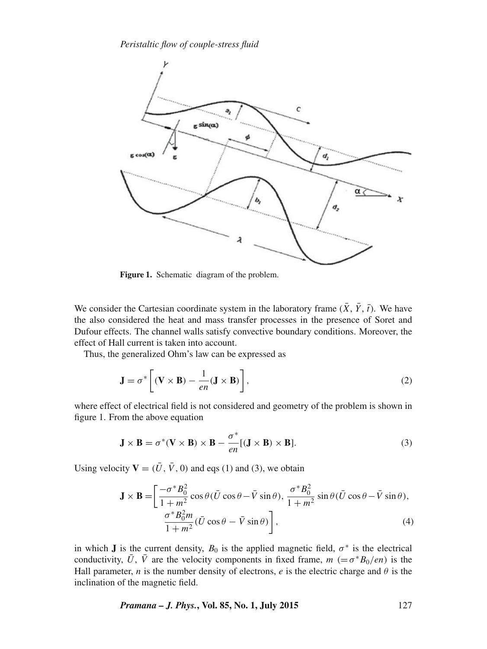

**Figure 1.** Schematic diagram of the problem.

We consider the Cartesian coordinate system in the laboratory frame  $(\bar{X}, \bar{Y}, \bar{t})$ . We have the also considered the heat and mass transfer processes in the presence of Soret and Dufour effects. The channel walls satisfy convective boundary conditions. Moreover, the effect of Hall current is taken into account.

Thus, the generalized Ohm's law can be expressed as

$$
\mathbf{J} = \sigma^* \left[ (\mathbf{V} \times \mathbf{B}) - \frac{1}{en} (\mathbf{J} \times \mathbf{B}) \right],
$$
 (2)

where effect of electrical field is not considered and geometry of the problem is shown in figure 1. From the above equation

$$
\mathbf{J} \times \mathbf{B} = \sigma^*(\mathbf{V} \times \mathbf{B}) \times \mathbf{B} - \frac{\sigma^*}{en}[(\mathbf{J} \times \mathbf{B}) \times \mathbf{B}].
$$
 (3)

Using velocity  $V = (\bar{U}, \bar{V}, 0)$  and eqs (1) and (3), we obtain

$$
\mathbf{J} \times \mathbf{B} = \left[ \frac{-\sigma^* B_0^2}{1 + m^2} \cos \theta (\bar{U} \cos \theta - \bar{V} \sin \theta), \frac{\sigma^* B_0^2}{1 + m^2} \sin \theta (\bar{U} \cos \theta - \bar{V} \sin \theta), \frac{\sigma^* B_0^2 m}{1 + m^2} (\bar{U} \cos \theta - \bar{V} \sin \theta) \right],
$$
(4)

in which **J** is the current density,  $B_0$  is the applied magnetic field,  $\sigma^*$  is the electrical conductivity, U, V are the velocity components in fixed frame,  $m$  (= $\sigma^*B_0/en$ ) is the Hall parameter, *n* is the number density of electrons, *e* is the electric charge and  $\theta$  is the inclination of the magnetic field.

*Pramana – J. Phys.***, Vol. 85, No. 1, July 2015** 127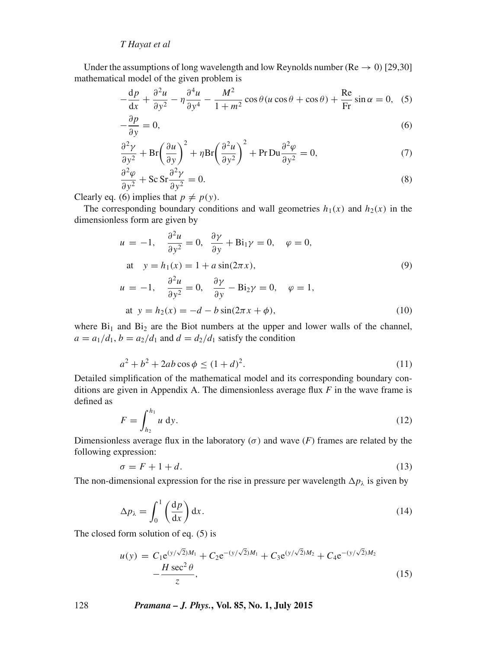Under the assumptions of long wavelength and low Reynolds number ( $Re \rightarrow 0$ ) [29,30] mathematical model of the given problem is

$$
-\frac{dp}{dx} + \frac{\partial^2 u}{\partial y^2} - \eta \frac{\partial^4 u}{\partial y^4} - \frac{M^2}{1 + m^2} \cos \theta (u \cos \theta + \cos \theta) + \frac{\text{Re}}{\text{Fr}} \sin \alpha = 0, \tag{5}
$$

$$
-\frac{\partial p}{\partial y} = 0,\tag{6}
$$

$$
\frac{\partial^2 \gamma}{\partial y^2} + \text{Br} \left( \frac{\partial u}{\partial y} \right)^2 + \eta \text{Br} \left( \frac{\partial^2 u}{\partial y^2} \right)^2 + \text{Pr} \, \text{Du} \frac{\partial^2 \varphi}{\partial y^2} = 0, \tag{7}
$$

$$
\frac{\partial^2 \varphi}{\partial y^2} + \text{Sc} \, \text{Sr} \frac{\partial^2 \gamma}{\partial y^2} = 0. \tag{8}
$$

Clearly eq. (6) implies that  $p \neq p(y)$ .

The corresponding boundary conditions and wall geometries  $h_1(x)$  and  $h_2(x)$  in the dimensionless form are given by

$$
u = -1, \quad \frac{\partial^2 u}{\partial y^2} = 0, \quad \frac{\partial \gamma}{\partial y} + Bi_1 \gamma = 0, \quad \varphi = 0,
$$
  
\nat  $y = h_1(x) = 1 + a \sin(2\pi x),$   
\n
$$
u = -1, \quad \frac{\partial^2 u}{\partial y^2} = 0, \quad \frac{\partial \gamma}{\partial y} - Bi_2 \gamma = 0, \quad \varphi = 1,
$$
  
\nat  $y = h_2(x) = -d - b \sin(2\pi x + \phi),$  (10)

where  $Bi_1$  and  $Bi_2$  are the Biot numbers at the upper and lower walls of the channel,  $a = a_1/d_1$ ,  $b = a_2/d_1$  and  $d = d_2/d_1$  satisfy the condition

$$
a^2 + b^2 + 2ab\cos\phi \le (1+d)^2. \tag{11}
$$

Detailed simplification of the mathematical model and its corresponding boundary conditions are given in Appendix A. The dimensionless average flux *F* in the wave frame is defined as

$$
F = \int_{h_2}^{h_1} u \, \mathrm{d}y. \tag{12}
$$

Dimensionless average flux in the laboratory ( $\sigma$ ) and wave (*F*) frames are related by the following expression:

$$
\sigma = F + 1 + d. \tag{13}
$$

The non-dimensional expression for the rise in pressure per wavelength  $\Delta p_{\lambda}$  is given by

$$
\Delta p_{\lambda} = \int_0^1 \left(\frac{\mathrm{d}p}{\mathrm{d}x}\right) \mathrm{d}x. \tag{14}
$$

The closed form solution of eq. (5) is

$$
u(y) = C_1 e^{(y/\sqrt{2})M_1} + C_2 e^{-(y/\sqrt{2})M_1} + C_3 e^{(y/\sqrt{2})M_2} + C_4 e^{-(y/\sqrt{2})M_2} - \frac{H \sec^2 \theta}{z},
$$
\n(15)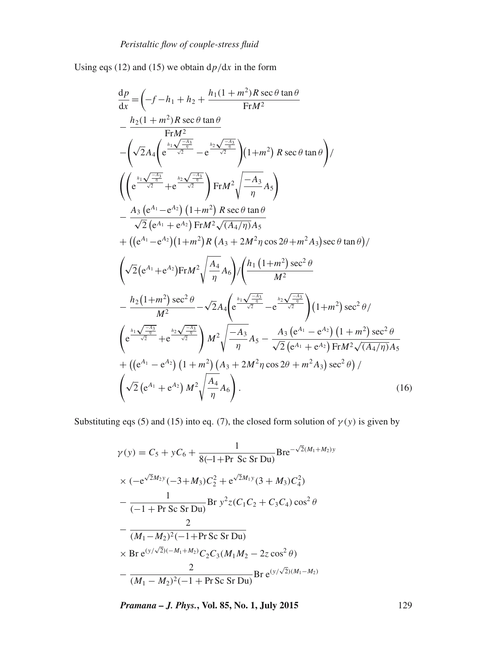Using eqs (12) and (15) we obtain  $dp/dx$  in the form

$$
\frac{dp}{dx} = \left(-f - h_1 + h_2 + \frac{h_1(1+m^2)R \sec \theta \tan \theta}{FrM^2} - \frac{h_2(1+m^2)R \sec \theta \tan \theta}{FrM^2} - \left(\sqrt{2}A_4 \left(e^{\frac{h_1\sqrt{-\frac{A_3}{n}}}{\sqrt{2}}} - e^{\frac{h_2\sqrt{-\frac{A_3}{n}}}{\sqrt{2}}}\right)(1+m^2)R \sec \theta \tan \theta\right)\right/
$$
\n
$$
\left(\left(e^{\frac{h_1\sqrt{-\frac{A_3}{n}}}{\sqrt{2}}} + e^{\frac{h_2\sqrt{-\frac{A_3}{n}}}{\sqrt{2}}}\right)FrM^2 \sqrt{\frac{-A_3}{n}} A_5\right) - \frac{A_3}{\sqrt{2}(e^{A_1} + e^{A_2})FrM^2 \sqrt{(A_4/n)A_5}} + ((e^{A_1} - e^{A_2})(1+m^2)R (A_3 + 2M^2 n \cos 2\theta + m^2 A_3) \sec \theta \tan \theta)/
$$
\n
$$
\left(\sqrt{2}(e^{A_1} + e^{A_2})FrM^2 \sqrt{\frac{A_4}{n}} A_6\right) / \left(\frac{h_1(1+m^2) \sec^2 \theta}{M^2} - \frac{h_2(1+m^2) \sec^2 \theta}{M^2} - \frac{h_2(1+m^2) \sec^2 \theta}{M^2} - \frac{h_2(1+m^2) \sec^2 \theta}{M^2} - \sqrt{2}A_4 \left(e^{\frac{h_1\sqrt{-\frac{A_3}{n}}}{\sqrt{2}}} - e^{\frac{h_2\sqrt{-\frac{A_3}{n}}}{\sqrt{2}}}\right)(1+m^2) \sec^2 \theta/\right.
$$
\n
$$
\left(e^{\frac{h_1\sqrt{-\frac{A_3}{n}}}{\sqrt{2}}} + e^{\frac{h_2\sqrt{-\frac{A_3}{n}}}{\sqrt{2}}}\right)M^2 \sqrt{\frac{-A_3}{n}} A_5 - \frac{A_3 (e^{A_1} - e^{A_2})(1+m^2) \sec^2 \theta}{\sqrt{2}(e^{A_1} + e^{A_2})FrM^2 \sqrt{(A_4/n)A_5}} + ((e^{A_1} - e^{A_2})(1+m^2) (A_3
$$

Substituting eqs (5) and (15) into eq. (7), the closed form solution of  $\gamma(y)$  is given by

$$
\gamma(y) = C_5 + yC_6 + \frac{1}{8(-1+Pr \text{ Sc Sr Du})} \text{Bre}^{-\sqrt{2}(M_1+M_2) y}
$$
  
\n
$$
\times (-e^{\sqrt{2}M_2 y}(-3+M_3)C_2^2 + e^{\sqrt{2}M_1 y} (3+M_3)C_4^2)
$$
  
\n
$$
-\frac{1}{(-1+Pr \text{ Sc Sr Du})} \text{Br } y^2 z (C_1C_2 + C_3C_4) \cos^2 \theta
$$
  
\n
$$
-\frac{2}{(M_1-M_2)^2(-1+Pr \text{Sc Sr Du})}
$$
  
\n
$$
\times \text{Br } e^{(y/\sqrt{2})(-M_1+M_2)} C_2 C_3 (M_1M_2 - 2z \cos^2 \theta)
$$
  
\n
$$
-\frac{2}{(M_1-M_2)^2(-1+Pr \text{Sc Sr Du})} \text{Br } e^{(y/\sqrt{2})(M_1-M_2)}
$$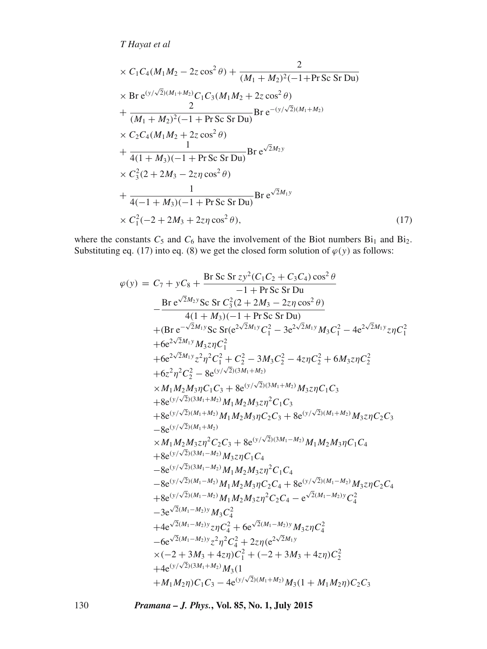$$
\times C_1 C_4 (M_1 M_2 - 2z \cos^2 \theta) + \frac{2}{(M_1 + M_2)^2 (-1 + \text{Pr} Sc Sr Du)}
$$
  
\n
$$
\times \text{Br} e^{(y/\sqrt{2})(M_1 + M_2)} C_1 C_3 (M_1 M_2 + 2z \cos^2 \theta)
$$
  
\n
$$
+ \frac{2}{(M_1 + M_2)^2 (-1 + \text{Pr} Sc Sr Du)} Br e^{-(y/\sqrt{2})(M_1 + M_2)}
$$
  
\n
$$
\times C_2 C_4 (M_1 M_2 + 2z \cos^2 \theta)
$$
  
\n
$$
+ \frac{1}{4(1 + M_3)(-1 + \text{Pr} Sc Sr Du)} Br e^{\sqrt{2}M_2 y}
$$
  
\n
$$
\times C_3^2 (2 + 2M_3 - 2z\eta \cos^2 \theta)
$$
  
\n
$$
+ \frac{1}{4(-1 + M_3)(-1 + \text{Pr} Sc Sr Du)} Br e^{\sqrt{2}M_1 y}
$$
  
\n
$$
\times C_1^2 (-2 + 2M_3 + 2z\eta \cos^2 \theta),
$$
 (17)

where the constants  $C_5$  and  $C_6$  have the involvement of the Biot numbers  $Bi_1$  and  $Bi_2$ . Substituting eq. (17) into eq. (8) we get the closed form solution of  $\varphi(y)$  as follows:

$$
\varphi(y) = C_7 + yC_8 + \frac{Br Sc Sr z y^2 (C_1 C_2 + C_3 C_4) \cos^2 \theta}{-1 + Pr Sc Sr Du}
$$
\n
$$
- \frac{Br e^{\sqrt{2}M_2 y} Sc Sr C_3^2 (2 + 2M_3 - 2z\eta \cos^2 \theta)}{4(1 + M_3)(-1 + Pr Sc Sr Du)}
$$
\n
$$
+ (Br e^{-\sqrt{2}M_1 y} Sc Sr (e^{2\sqrt{2}M_1 y} C_1^2 - 3e^{2\sqrt{2}M_1 y} M_3 C_1^2 - 4e^{2\sqrt{2}M_1 y} z\eta C_1^2
$$
\n
$$
+ 6e^{2\sqrt{2}M_1 y} z\eta C_1^2
$$
\n
$$
+ 6e^{2\sqrt{2}M_1 y} z\eta C_1^2
$$
\n
$$
+ 6e^{2\sqrt{2}M_1 y} z\eta C_1^2 + C_2^2 - 3M_3 C_2^2 - 4z\eta C_2^2 + 6M_3 z\eta C_2^2
$$
\n
$$
+ 6z^2\eta^2 C_2^2 - 8e^{(\frac{y}{\sqrt{2}})(3M_1 + M_2)}
$$
\n
$$
\times M_1 M_2 M_3 \eta C_1 C_3 + 8e^{(\frac{y}{\sqrt{2}})(3M_1 + M_2)} M_3 z\eta C_1 C_3
$$
\n
$$
+ 8e^{(\frac{y}{\sqrt{2}})(M_1 + M_2)} M_1 M_2 M_3 z\eta^2 C_1 C_3
$$
\n
$$
+ 8e^{(\frac{y}{\sqrt{2}})(M_1 + M_2)} M_1 M_2 M_3 \eta C_2 C_3 + 8e^{(\frac{y}{\sqrt{2}})(M_1 + M_2)} M_3 z\eta C_1 C_3
$$
\n
$$
- 8e^{(\frac{y}{\sqrt{2}})(M_1 + M_2)} M_3 z\eta C_1 C_4
$$
\n
$$
+ 8e^{(\frac{y}{\sqrt{2}})(3M_1 - M_2)} M_1 M_2 M_3 z\eta^2 C_1 C_4
$$
\n
$$
- 8e^{(\frac{y}{\sqrt{2}})(3M_1 - M_2)} M_1 M_2
$$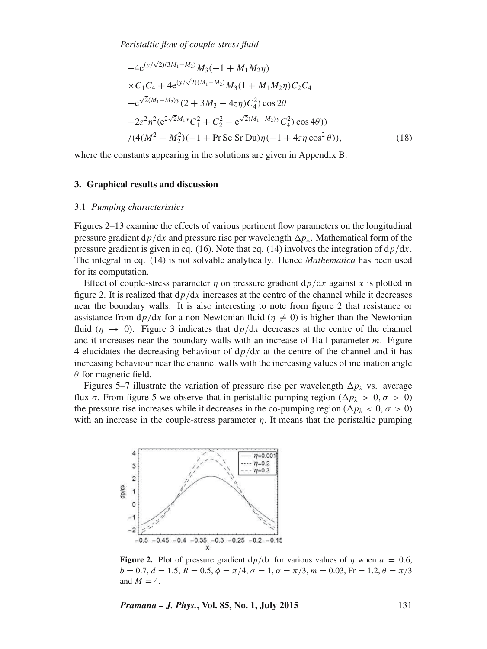$$
-4e^{(y/\sqrt{2})(3M_1-M_2)}M_3(-1+M_1M_2\eta)
$$
  
\n
$$
\times C_1C_4 + 4e^{(y/\sqrt{2})(M_1-M_2)}M_3(1+M_1M_2\eta)C_2C_4
$$
  
\n
$$
+e^{\sqrt{2}(M_1-M_2)y}(2+3M_3-4z\eta)C_4^2)\cos 2\theta
$$
  
\n
$$
+2z^2\eta^2(e^{2\sqrt{2}M_1y}C_1^2+C_2^2-e^{\sqrt{2}(M_1-M_2)y}C_4^2)\cos 4\theta)
$$
  
\n
$$
/(4(M_1^2-M_2^2)(-1+PrSc Sr Du)\eta(-1+4z\eta)\cos^2\theta)),
$$
\n(18)

where the constants appearing in the solutions are given in Appendix B.

#### **3. Graphical results and discussion**

#### 3.1 *Pumping characteristics*

Figures 2–13 examine the effects of various pertinent flow parameters on the longitudinal pressure gradient  $dp/dx$  and pressure rise per wavelength  $\Delta p_\lambda$ . Mathematical form of the pressure gradient is given in eq. (16). Note that eq. (14) involves the integration of  $d\rho/dx$ . The integral in eq. (14) is not solvable analytically. Hence *Mathematica* has been used for its computation.

Effect of couple-stress parameter  $\eta$  on pressure gradient  $dp/dx$  against x is plotted in figure 2. It is realized that  $dp/dx$  increases at the centre of the channel while it decreases near the boundary walls. It is also interesting to note from figure 2 that resistance or assistance from  $dp/dx$  for a non-Newtonian fluid ( $\eta \neq 0$ ) is higher than the Newtonian fluid ( $\eta \rightarrow 0$ ). Figure 3 indicates that  $dp/dx$  decreases at the centre of the channel and it increases near the boundary walls with an increase of Hall parameter m. Figure 4 elucidates the decreasing behaviour of  $dp/dx$  at the centre of the channel and it has increasing behaviour near the channel walls with the increasing values of inclination angle  $\theta$  for magnetic field.

Figures 5–7 illustrate the variation of pressure rise per wavelength  $\Delta p_\lambda$  vs. average flux  $\sigma$ . From figure 5 we observe that in peristaltic pumping region ( $\Delta p_{\lambda} > 0, \sigma > 0$ ) the pressure rise increases while it decreases in the co-pumping region ( $\Delta p_{\lambda} < 0$ ,  $\sigma > 0$ ) with an increase in the couple-stress parameter  $\eta$ . It means that the peristaltic pumping



**Figure 2.** Plot of pressure gradient  $dp/dx$  for various values of  $\eta$  when  $a = 0.6$ ,  $b = 0.7, d = 1.5, R = 0.5, \phi = \pi/4, \sigma = 1, \alpha = \pi/3, m = 0.03$ , Fr = 1.2,  $\theta = \pi/3$ and  $M = 4$ .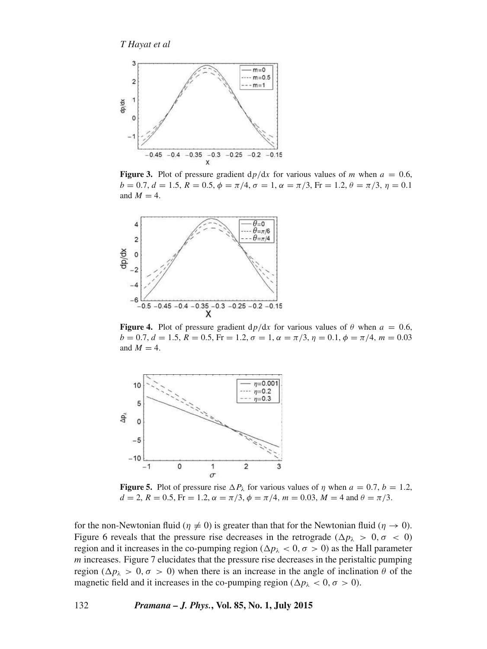

**Figure 3.** Plot of pressure gradient  $dp/dx$  for various values of m when  $a = 0.6$ ,  $b = 0.7, d = 1.5, R = 0.5, \phi = \pi/4, \sigma = 1, \alpha = \pi/3$ , Fr = 1.2,  $\theta = \pi/3, \eta = 0.1$ and  $M = 4$ .



**Figure 4.** Plot of pressure gradient  $dp/dx$  for various values of  $\theta$  when  $a = 0.6$ ,  $b = 0.7, d = 1.5, R = 0.5, Fr = 1.2, \sigma = 1, \alpha = \pi/3, \eta = 0.1, \phi = \pi/4, m = 0.03$ and  $M = 4$ .



**Figure 5.** Plot of pressure rise  $\Delta P_\lambda$  for various values of  $\eta$  when  $a = 0.7$ ,  $b = 1.2$ ,  $d = 2$ ,  $R = 0.5$ ,  $Fr = 1.2$ ,  $\alpha = \pi/3$ ,  $\phi = \pi/4$ ,  $m = 0.03$ ,  $M = 4$  and  $\theta = \pi/3$ .

for the non-Newtonian fluid ( $\eta \neq 0$ ) is greater than that for the Newtonian fluid ( $\eta \rightarrow 0$ ). Figure 6 reveals that the pressure rise decreases in the retrograde ( $\Delta p_{\lambda} > 0, \sigma < 0$ ) region and it increases in the co-pumping region ( $\Delta p_{\lambda} < 0$ ,  $\sigma > 0$ ) as the Hall parameter  *increases. Figure 7 elucidates that the pressure rise decreases in the peristaltic pumping* region ( $\Delta p_{\lambda} > 0$ ,  $\sigma > 0$ ) when there is an increase in the angle of inclination  $\theta$  of the magnetic field and it increases in the co-pumping region ( $\Delta p_{\lambda} < 0, \sigma > 0$ ).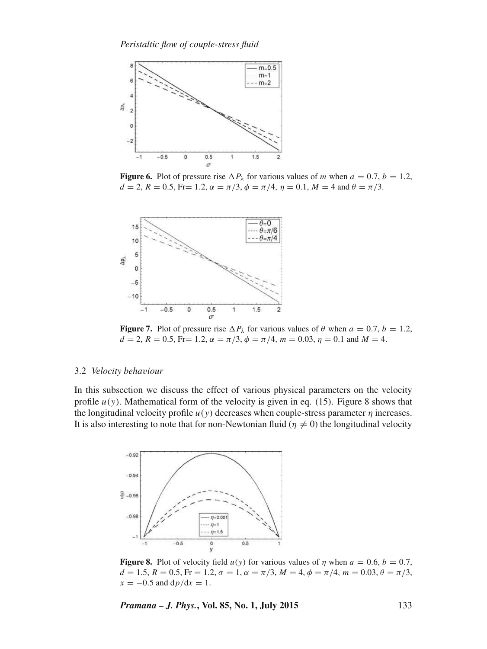

**Figure 6.** Plot of pressure rise  $\Delta P_{\lambda}$  for various values of m when  $a = 0.7$ ,  $b = 1.2$ ,  $d = 2$ ,  $R = 0.5$ , Fr= 1.2,  $\alpha = \pi/3$ ,  $\phi = \pi/4$ ,  $\eta = 0.1$ ,  $M = 4$  and  $\theta = \pi/3$ .



**Figure 7.** Plot of pressure rise  $\Delta P_\lambda$  for various values of  $\theta$  when  $a = 0.7$ ,  $b = 1.2$ ,  $d = 2$ ,  $R = 0.5$ , Fr= 1.2,  $\alpha = \pi/3$ ,  $\phi = \pi/4$ ,  $m = 0.03$ ,  $\eta = 0.1$  and  $M = 4$ .

#### 3.2 *Velocity beha*v*iour*

In this subsection we discuss the effect of various physical parameters on the velocity profile  $u(y)$ . Mathematical form of the velocity is given in eq. (15). Figure 8 shows that the longitudinal velocity profile  $u(y)$  decreases when couple-stress parameter  $\eta$  increases. It is also interesting to note that for non-Newtonian fluid ( $\eta \neq 0$ ) the longitudinal velocity



**Figure 8.** Plot of velocity field  $u(y)$  for various values of  $\eta$  when  $a = 0.6$ ,  $b = 0.7$ ,  $d = 1.5, R = 0.5, Fr = 1.2, \sigma = 1, \alpha = \pi/3, M = 4, \phi = \pi/4, m = 0.03, \theta = \pi/3,$  $x = -0.5$  and  $dp/dx = 1$ .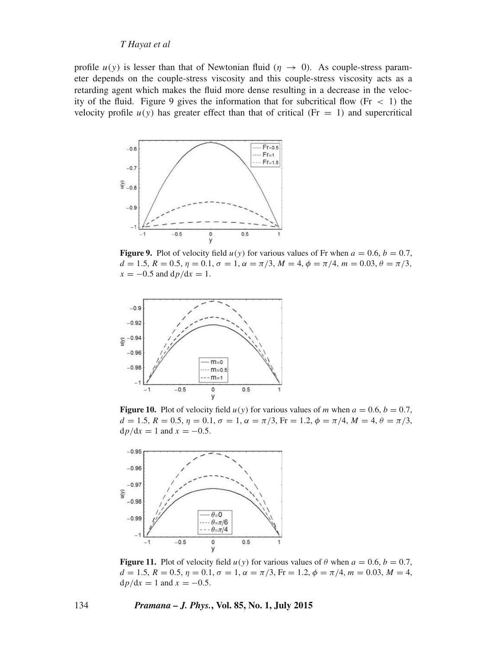profile  $u(y)$  is lesser than that of Newtonian fluid ( $\eta \rightarrow 0$ ). As couple-stress parameter depends on the couple-stress viscosity and this couple-stress viscosity acts as a retarding agent which makes the fluid more dense resulting in a decrease in the velocity of the fluid. Figure 9 gives the information that for subcritical flow (Fr  $\lt$  1) the velocity profile  $u(y)$  has greater effect than that of critical (Fr = 1) and supercritical



**Figure 9.** Plot of velocity field  $u(y)$  for various values of Fr when  $a = 0.6$ ,  $b = 0.7$ ,  $d = 1.5, R = 0.5, \eta = 0.1, \sigma = 1, \alpha = \pi/3, M = 4, \phi = \pi/4, m = 0.03, \theta = \pi/3,$  $x = -0.5$  and  $dp/dx = 1$ .



**Figure 10.** Plot of velocity field  $u(y)$  for various values of m when  $a = 0.6$ ,  $b = 0.7$ ,  $d = 1.5, R = 0.5, \eta = 0.1, \sigma = 1, \alpha = \pi/3$ , Fr = 1.2,  $\phi = \pi/4$ ,  $M = 4, \theta = \pi/3$ ,  $dp/dx = 1$  and  $x = -0.5$ .



**Figure 11.** Plot of velocity field  $u(y)$  for various values of  $\theta$  when  $a = 0.6$ ,  $b = 0.7$ ,  $d = 1.5, R = 0.5, \eta = 0.1, \sigma = 1, \alpha = \pi/3$ , Fr = 1.2,  $\phi = \pi/4$ ,  $m = 0.03, M = 4$ ,  $dp/dx = 1$  and  $x = -0.5$ .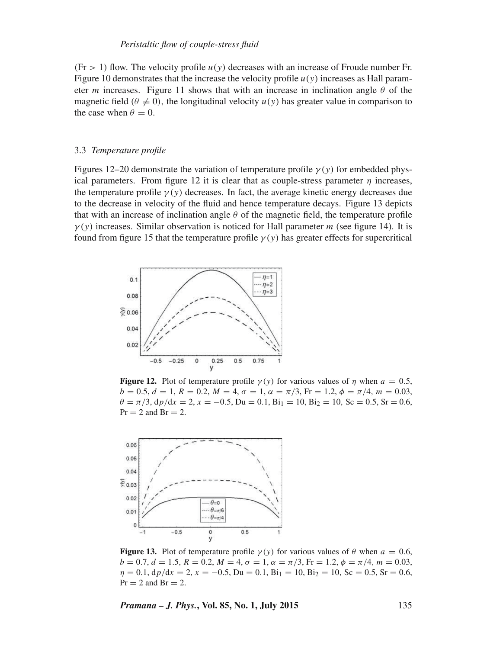#### *Peristaltic flow of couple-stress fluid*

 $(F = 1)$  flow. The velocity profile  $u(y)$  decreases with an increase of Froude number Fr. Figure 10 demonstrates that the increase the velocity profile  $u(y)$  increases as Hall parameter m increases. Figure 11 shows that with an increase in inclination angle  $\theta$  of the magnetic field ( $\theta \neq 0$ ), the longitudinal velocity  $u(y)$  has greater value in comparison to the case when  $\theta = 0$ .

#### 3.3 *Temperature profile*

Figures 12–20 demonstrate the variation of temperature profile  $\gamma(y)$  for embedded physical parameters. From figure 12 it is clear that as couple-stress parameter  $\eta$  increases, the temperature profile  $\gamma(y)$  decreases. In fact, the average kinetic energy decreases due to the decrease in velocity of the fluid and hence temperature decays. Figure 13 depicts that with an increase of inclination angle  $\theta$  of the magnetic field, the temperature profile  $\gamma(y)$  increases. Similar observation is noticed for Hall parameter m (see figure 14). It is found from figure 15 that the temperature profile  $\gamma(y)$  has greater effects for supercritical



**Figure 12.** Plot of temperature profile  $\gamma(y)$  for various values of  $\eta$  when  $a = 0.5$ ,  $b = 0.5, d = 1, R = 0.2, M = 4, \sigma = 1, \alpha = \pi/3$ , Fr = 1.2,  $\phi = \pi/4$ , m = 0.03,  $\theta = \pi/3$ ,  $dp/dx = 2$ ,  $x = -0.5$ ,  $Du = 0.1$ ,  $Bi_1 = 10$ ,  $Bi_2 = 10$ ,  $Sc = 0.5$ ,  $Sr = 0.6$ ,  $Pr = 2$  and  $Br = 2$ .



**Figure 13.** Plot of temperature profile  $\gamma(y)$  for various values of  $\theta$  when  $a = 0.6$ ,  $b = 0.7, d = 1.5, R = 0.2, M = 4, \sigma = 1, \alpha = \pi/3, Fr = 1.2, \phi = \pi/4, m = 0.03,$  $\eta = 0.1$ ,  $dp/dx = 2$ ,  $x = -0.5$ ,  $Du = 0.1$ ,  $Bi_1 = 10$ ,  $Bi_2 = 10$ ,  $Sc = 0.5$ ,  $Sr = 0.6$ ,  $Pr = 2$  and  $Br = 2$ .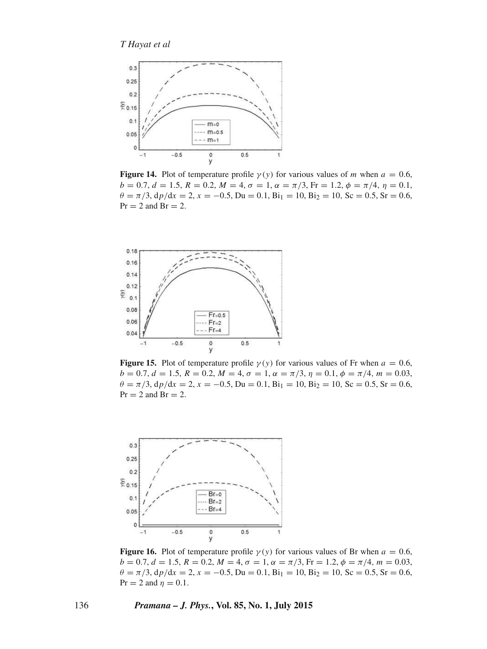

**Figure 14.** Plot of temperature profile  $\gamma(y)$  for various values of m when  $a = 0.6$ ,  $b = 0.7, d = 1.5, R = 0.2, M = 4, \sigma = 1, \alpha = \pi/3$ , Fr = 1.2,  $\phi = \pi/4, \eta = 0.1$ ,  $\theta = \pi/3$ ,  $dp/dx = 2$ ,  $x = -0.5$ ,  $Du = 0.1$ ,  $Bi_1 = 10$ ,  $Bi_2 = 10$ ,  $Sc = 0.5$ ,  $Sr = 0.6$ ,  $Pr = 2$  and  $Br = 2$ .



**Figure 15.** Plot of temperature profile  $\gamma(y)$  for various values of Fr when  $a = 0.6$ ,  $b = 0.7, d = 1.5, R = 0.2, M = 4, \sigma = 1, \alpha = \pi/3, \eta = 0.1, \phi = \pi/4, m = 0.03,$  $\theta = \pi/3$ ,  $dp/dx = 2$ ,  $x = -0.5$ , Du = 0.1, Bi<sub>1</sub> = 10, Bi<sub>2</sub> = 10, Sc = 0.5, Sr = 0.6,  $Pr = 2$  and  $Br = 2$ .



**Figure 16.** Plot of temperature profile  $\gamma(y)$  for various values of Br when  $a = 0.6$ ,  $b = 0.7, d = 1.5, R = 0.2, M = 4, \sigma = 1, \alpha = \pi/3, Fr = 1.2, \phi = \pi/4, m = 0.03,$  $\theta = \pi/3$ ,  $dp/dx = 2$ ,  $x = -0.5$ ,  $Du = 0.1$ ,  $Bi_1 = 10$ ,  $Bi_2 = 10$ ,  $Sc = 0.5$ ,  $Sr = 0.6$ ,  $Pr = 2$  and  $\eta = 0.1$ .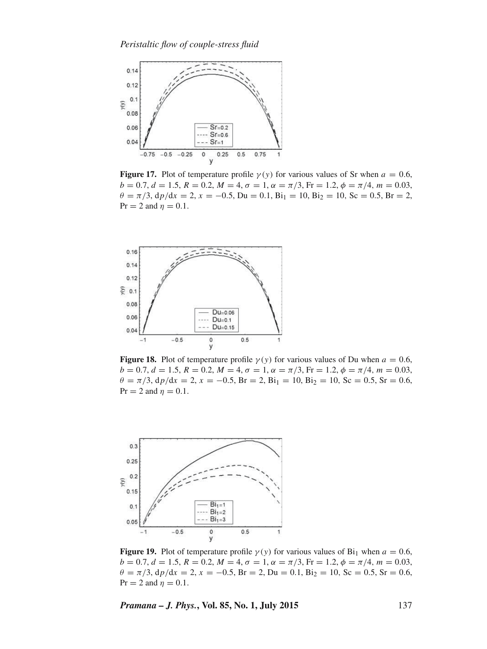

**Figure 17.** Plot of temperature profile  $\gamma(y)$  for various values of Sr when  $a = 0.6$ ,  $b = 0.7, d = 1.5, R = 0.2, M = 4, \sigma = 1, \alpha = \pi/3$ , Fr = 1.2,  $\phi = \pi/4$ , m = 0.03,  $\theta = \pi/3$ ,  $dp/dx = 2$ ,  $x = -0.5$ , Du = 0.1, Bi<sub>1</sub> = 10, Bi<sub>2</sub> = 10, Sc = 0.5, Br = 2,  $Pr = 2$  and  $\eta = 0.1$ .



**Figure 18.** Plot of temperature profile  $\gamma(y)$  for various values of Du when  $a = 0.6$ ,  $b = 0.7, d = 1.5, R = 0.2, M = 4, \sigma = 1, \alpha = \pi/3, Fr = 1.2, \phi = \pi/4, m = 0.03,$  $\theta = \pi/3$ ,  $dp/dx = 2$ ,  $x = -0.5$ ,  $Br = 2$ ,  $Bi_1 = 10$ ,  $Bi_2 = 10$ ,  $Sc = 0.5$ ,  $Sr = 0.6$ ,  $Pr = 2$  and  $\eta = 0.1$ .



**Figure 19.** Plot of temperature profile  $\gamma(y)$  for various values of Bi<sub>1</sub> when  $a = 0.6$ ,  $b = 0.7, d = 1.5, R = 0.2, M = 4, \sigma = 1, \alpha = \pi/3, Fr = 1.2, \phi = \pi/4, m = 0.03,$  $\theta = \pi/3$ ,  $dp/dx = 2$ ,  $x = -0.5$ ,  $Br = 2$ ,  $Du = 0.1$ ,  $Bi_2 = 10$ ,  $Sc = 0.5$ ,  $Sr = 0.6$ ,  $Pr = 2$  and  $\eta = 0.1$ .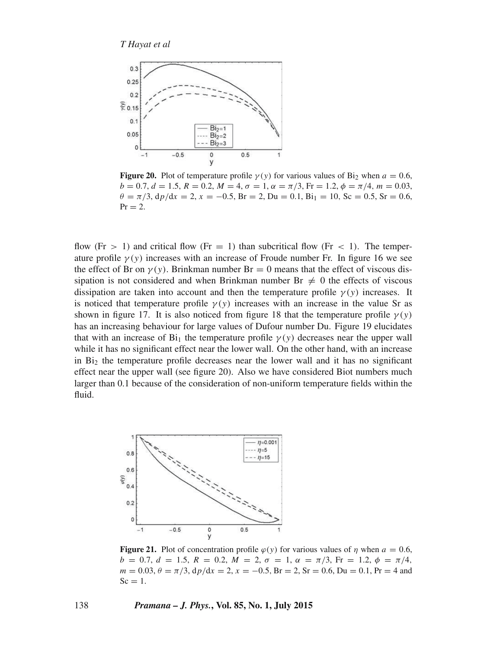

**Figure 20.** Plot of temperature profile  $\gamma(y)$  for various values of Bi<sub>2</sub> when  $a = 0.6$ .  $b = 0.7, d = 1.5, R = 0.2, M = 4, \sigma = 1, \alpha = \pi/3$ , Fr = 1.2,  $\phi = \pi/4$ , m = 0.03,  $\theta = \pi/3$ ,  $dp/dx = 2$ ,  $x = -0.5$ ,  $Br = 2$ ,  $Du = 0.1$ ,  $Bi_1 = 10$ ,  $Sc = 0.5$ ,  $Sr = 0.6$ ,  $Pr = 2$ .

flow (Fr  $> 1$ ) and critical flow (Fr  $= 1$ ) than subcritical flow (Fr  $< 1$ ). The temperature profile  $\gamma(y)$  increases with an increase of Froude number Fr. In figure 16 we see the effect of Br on  $\gamma(y)$ . Brinkman number Br = 0 means that the effect of viscous dissipation is not considered and when Brinkman number  $Br \neq 0$  the effects of viscous dissipation are taken into account and then the temperature profile  $\gamma(y)$  increases. It is noticed that temperature profile  $\gamma(y)$  increases with an increase in the value Sr as shown in figure 17. It is also noticed from figure 18 that the temperature profile  $\gamma(y)$ has an increasing behaviour for large values of Dufour number Du. Figure 19 elucidates that with an increase of  $Bi_1$  the temperature profile  $\gamma(y)$  decreases near the upper wall while it has no significant effect near the lower wall. On the other hand, with an increase in  $Bi<sub>2</sub>$  the temperature profile decreases near the lower wall and it has no significant effect near the upper wall (see figure 20). Also we have considered Biot numbers much larger than 0.1 because of the consideration of non-uniform temperature fields within the fluid.



**Figure 21.** Plot of concentration profile  $\varphi(y)$  for various values of  $\eta$  when  $a = 0.6$ ,  $b = 0.7, d = 1.5, R = 0.2, M = 2, \sigma = 1, \alpha = \pi/3$ , Fr = 1.2,  $\phi = \pi/4$ ,  $m = 0.03$ ,  $\theta = \pi/3$ ,  $dp/dx = 2$ ,  $x = -0.5$ ,  $Br = 2$ ,  $Sr = 0.6$ ,  $Du = 0.1$ ,  $Pr = 4$  and  $Sc = 1$ .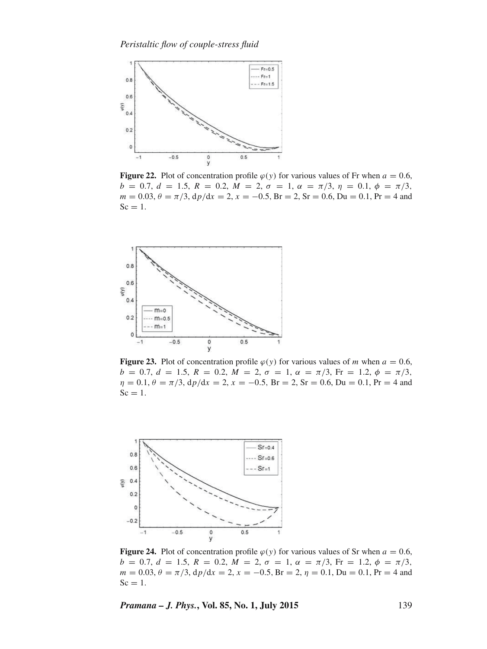

**Figure 22.** Plot of concentration profile  $\varphi(y)$  for various values of Fr when  $a = 0.6$ ,  $b = 0.7, d = 1.5, R = 0.2, M = 2, \sigma = 1, \alpha = \pi/3, \eta = 0.1, \phi = \pi/3,$  $m = 0.03$ ,  $\theta = \pi/3$ ,  $dp/dx = 2$ ,  $x = -0.5$ ,  $Br = 2$ ,  $Sr = 0.6$ ,  $Du = 0.1$ ,  $Pr = 4$  and  $Sc = 1$ .



**Figure 23.** Plot of concentration profile  $\varphi(y)$  for various values of m when  $a = 0.6$ ,  $b = 0.7, d = 1.5, R = 0.2, M = 2, \sigma = 1, \alpha = \pi/3, \text{Fr} = 1.2, \phi = \pi/3,$  $\eta = 0.1, \theta = \pi/3$ ,  $dp/dx = 2, x = -0.5$ ,  $Br = 2$ ,  $Sr = 0.6$ ,  $Du = 0.1$ ,  $Pr = 4$  and  $Sc = 1$ .



**Figure 24.** Plot of concentration profile  $\varphi(y)$  for various values of Sr when  $a = 0.6$ ,  $b = 0.7, d = 1.5, R = 0.2, M = 2, \sigma = 1, \alpha = \pi/3, \text{Fr} = 1.2, \phi = \pi/3,$  $m = 0.03$ ,  $\theta = \pi/3$ ,  $dp/dx = 2$ ,  $x = -0.5$ ,  $Br = 2$ ,  $\eta = 0.1$ ,  $Du = 0.1$ ,  $Pr = 4$  and  $Sc = 1$ .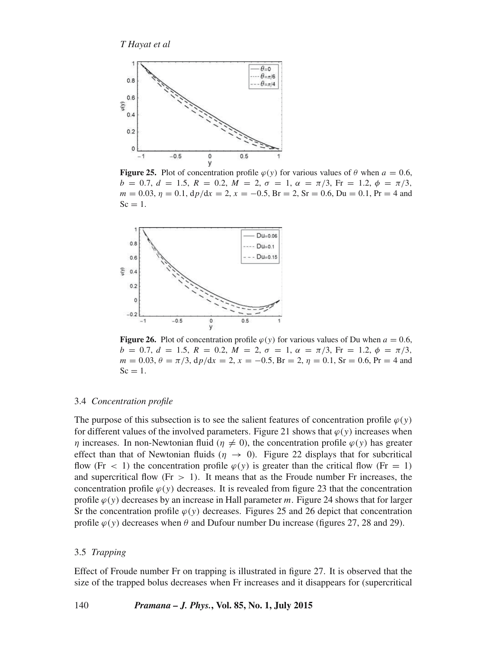

**Figure 25.** Plot of concentration profile  $\varphi(y)$  for various values of  $\theta$  when  $a = 0.6$ ,  $b = 0.7, d = 1.5, R = 0.2, M = 2, \sigma = 1, \alpha = \pi/3, Fr = 1.2, \phi = \pi/3,$  $m = 0.03$ ,  $\eta = 0.1$ ,  $dp/dx = 2$ ,  $x = -0.5$ ,  $Br = 2$ ,  $Sr = 0.6$ ,  $Du = 0.1$ ,  $Pr = 4$  and  $Sc = 1$ .



**Figure 26.** Plot of concentration profile  $\varphi(y)$  for various values of Du when  $a = 0.6$ ,  $b = 0.7, d = 1.5, R = 0.2, M = 2, \sigma = 1, \alpha = \pi/3$ , Fr = 1.2,  $\phi = \pi/3$ ,  $m = 0.03$ ,  $\theta = \pi/3$ ,  $dp/dx = 2$ ,  $x = -0.5$ ,  $Br = 2$ ,  $\eta = 0.1$ ,  $Sr = 0.6$ ,  $Pr = 4$  and  $Sc = 1$ .

#### 3.4 *Concentration profile*

The purpose of this subsection is to see the salient features of concentration profile  $\varphi(y)$ for different values of the involved parameters. Figure 21 shows that  $\varphi(y)$  increases when  $\eta$  increases. In non-Newtonian fluid ( $\eta \neq 0$ ), the concentration profile  $\varphi(y)$  has greater effect than that of Newtonian fluids ( $\eta \rightarrow 0$ ). Figure 22 displays that for subcritical flow (Fr < 1) the concentration profile  $\varphi(y)$  is greater than the critical flow (Fr = 1) and supercritical flow (Fr  $> 1$ ). It means that as the Froude number Fr increases, the concentration profile  $\varphi(y)$  decreases. It is revealed from figure 23 that the concentration profile  $\varphi(y)$  decreases by an increase in Hall parameter m. Figure 24 shows that for larger Sr the concentration profile  $\varphi(y)$  decreases. Figures 25 and 26 depict that concentration profile  $\varphi(y)$  decreases when  $\theta$  and Dufour number Du increase (figures 27, 28 and 29).

#### 3.5 *Trapping*

Effect of Froude number Fr on trapping is illustrated in figure 27. It is observed that the size of the trapped bolus decreases when Fr increases and it disappears for (supercritical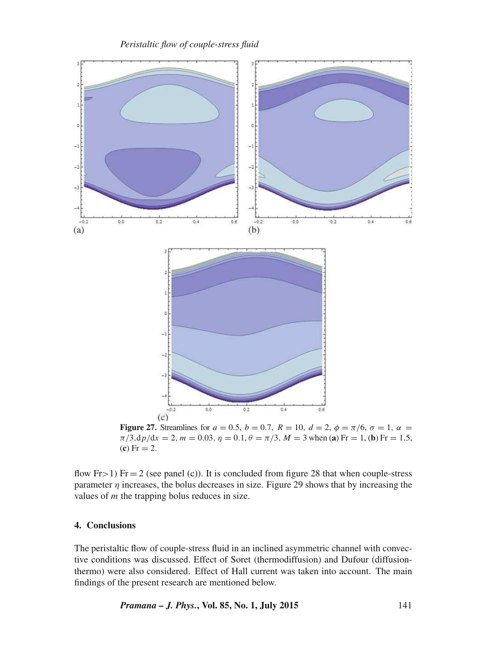*Peristaltic flow of couple-stress fluid*



**Figure 27.** Streamlines for  $a = 0.5$ ,  $b = 0.7$ ,  $R = 10$ ,  $d = 2$ ,  $\phi = \pi/6$ ,  $\sigma = 1$ ,  $\alpha =$  $\pi/3$ ,dp/dx = 2, m = 0.03,  $\eta = 0.1$ ,  $\theta = \pi/3$ ,  $M = 3$  when (**a**) Fr = 1, (**b**) Fr = 1.5,  $(c) Fr = 2.$ 

flow  $Fr > 1$ )  $Fr = 2$  (see panel (c)). It is concluded from figure 28 that when couple-stress parameter  $\eta$  increases, the bolus decreases in size. Figure 29 shows that by increasing the values of  *the trapping bolus reduces in size.* 

#### **4. Conclusions**

The peristaltic flow of couple-stress fluid in an inclined asymmetric channel with convective conditions was discussed. Effect of Soret (thermodiffusion) and Dufour (diffusionthermo) were also considered. Effect of Hall current was taken into account. The main findings of the present research are mentioned below.

*Pramana – J. Phys.***, Vol. 85, No. 1, July 2015** 141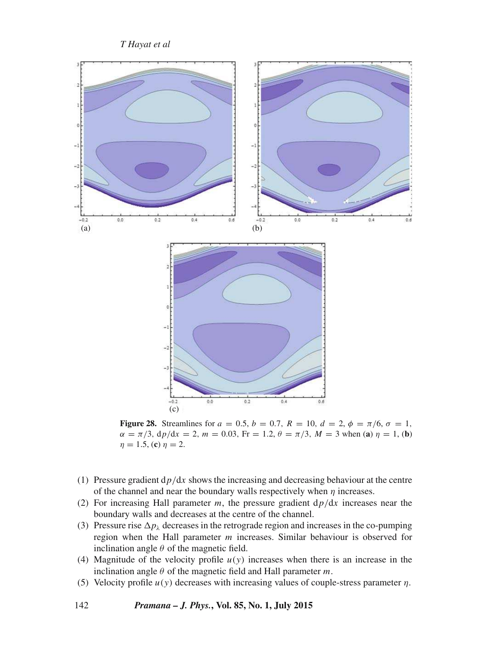

**Figure 28.** Streamlines for  $a = 0.5$ ,  $b = 0.7$ ,  $R = 10$ ,  $d = 2$ ,  $\phi = \pi/6$ ,  $\sigma = 1$ ,  $\alpha = \pi/3$ ,  $dp/dx = 2$ ,  $m = 0.03$ ,  $Fr = 1.2$ ,  $\theta = \pi/3$ ,  $M = 3$  when (**a**)  $\eta = 1$ , (**b**)  $\eta = 1.5$ , (**c**)  $\eta = 2$ .

- (1) Pressure gradient  $dp/dx$  shows the increasing and decreasing behaviour at the centre of the channel and near the boundary walls respectively when  $\eta$  increases.
- (2) For increasing Hall parameter  $m$ , the pressure gradient  $dp/dx$  increases near the boundary walls and decreases at the centre of the channel.
- (3) Pressure rise  $\Delta p_\lambda$  decreases in the retrograde region and increases in the co-pumping region when the Hall parameter m increases. Similar behaviour is observed for inclination angle  $\theta$  of the magnetic field.
- (4) Magnitude of the velocity profile  $u(y)$  increases when there is an increase in the inclination angle  $\theta$  of the magnetic field and Hall parameter m.
- (5) Velocity profile  $u(y)$  decreases with increasing values of couple-stress parameter  $\eta$ .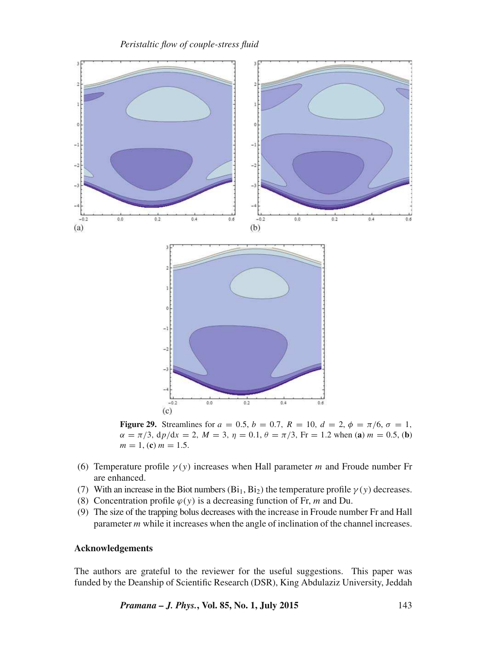



**Figure 29.** Streamlines for  $a = 0.5$ ,  $b = 0.7$ ,  $R = 10$ ,  $d = 2$ ,  $\phi = \pi/6$ ,  $\sigma = 1$ ,  $\alpha = \pi/3$ ,  $dp/dx = 2$ ,  $M = 3$ ,  $\eta = 0.1$ ,  $\theta = \pi/3$ , Fr = 1.2 when (**a**)  $m = 0.5$ , (**b**)  $m = 1$ , (c)  $m = 1.5$ .

- (6) Temperature profile  $\gamma(y)$  increases when Hall parameter m and Froude number Fr are enhanced.
- (7) With an increase in the Biot numbers  $(Bi_1, Bi_2)$  the temperature profile  $\gamma(y)$  decreases.
- (8) Concentration profile  $\varphi(y)$  is a decreasing function of Fr, m and Du.
- (9) The size of the trapping bolus decreases with the increase in Froude number Fr and Hall parameter m while it increases when the angle of inclination of the channel increases.

#### **Acknowledgements**

The authors are grateful to the reviewer for the useful suggestions. This paper was funded by the Deanship of Scientific Research (DSR), King Abdulaziz University, Jeddah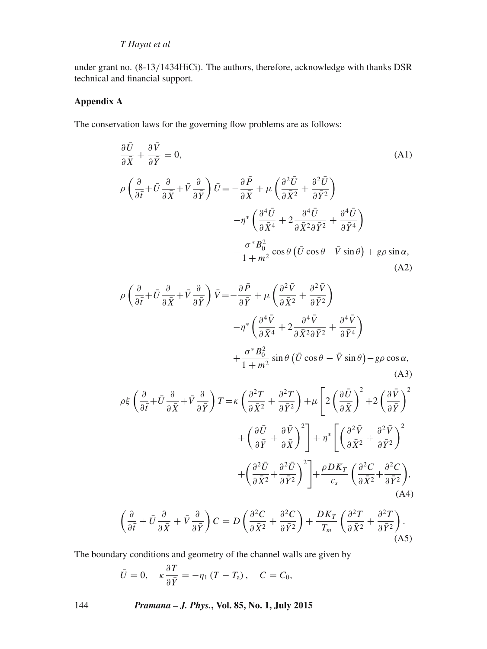under grant no. (8-13/1434HiCi). The authors, therefore, acknowledge with thanks DSR technical and financial support.

## **Appendix A**

The conservation laws for the governing flow problems are as follows:

$$
\frac{\partial U}{\partial \bar{X}} + \frac{\partial V}{\partial \bar{Y}} = 0,
$$
\n(A1)  
\n
$$
\rho \left( \frac{\partial}{\partial \bar{t}} + \bar{U} \frac{\partial}{\partial \bar{X}} + \bar{V} \frac{\partial}{\partial \bar{Y}} \right) \bar{U} = -\frac{\partial \bar{P}}{\partial \bar{X}} + \mu \left( \frac{\partial^2 \bar{U}}{\partial \bar{X}^2} + \frac{\partial^2 \bar{U}}{\partial \bar{Y}^2} \right)
$$
\n
$$
-\eta^* \left( \frac{\partial^4 \bar{U}}{\partial \bar{X}^4} + 2 \frac{\partial^4 \bar{U}}{\partial \bar{X}^2 \partial \bar{Y}^2} + \frac{\partial^4 \bar{U}}{\partial \bar{Y}^4} \right)
$$
\n
$$
-\frac{\sigma^* B_0^2}{1 + m^2} \cos \theta \left( \bar{U} \cos \theta - \bar{V} \sin \theta \right) + g \rho \sin \alpha,
$$
\n(A2)

$$
\rho \left( \frac{\partial}{\partial \bar{t}} + \bar{U} \frac{\partial}{\partial \bar{X}} + \bar{V} \frac{\partial}{\partial \bar{Y}} \right) \bar{V} = -\frac{\partial \bar{P}}{\partial \bar{Y}} + \mu \left( \frac{\partial^2 \bar{V}}{\partial \bar{X}^2} + \frac{\partial^2 \bar{V}}{\partial \bar{Y}^2} \right) \n- \eta^* \left( \frac{\partial^4 \bar{V}}{\partial \bar{X}^4} + 2 \frac{\partial^4 \bar{V}}{\partial \bar{X}^2 \partial \bar{Y}^2} + \frac{\partial^4 \bar{V}}{\partial \bar{Y}^4} \right) \n+ \frac{\sigma^* B_0^2}{1 + m^2} \sin \theta \left( \bar{U} \cos \theta - \bar{V} \sin \theta \right) - g \rho \cos \alpha,
$$
\n(A3)

$$
\rho \xi \left( \frac{\partial}{\partial \bar{t}} + \bar{U} \frac{\partial}{\partial \bar{X}} + \bar{V} \frac{\partial}{\partial \bar{Y}} \right) T = \kappa \left( \frac{\partial^2 T}{\partial \bar{X}^2} + \frac{\partial^2 T}{\partial \bar{Y}^2} \right) + \mu \left[ 2 \left( \frac{\partial \bar{U}}{\partial \bar{X}} \right)^2 + 2 \left( \frac{\partial \bar{V}}{\partial \bar{Y}} \right)^2 \right] + \left( \frac{\partial \bar{U}}{\partial \bar{Y}} + \frac{\partial \bar{V}}{\partial \bar{Y}} \right)^2 \right] + \eta^* \left[ \left( \frac{\partial^2 \bar{V}}{\partial \bar{X}^2} + \frac{\partial^2 \bar{V}}{\partial \bar{Y}^2} \right)^2 \right] + \left( \frac{\partial^2 \bar{U}}{\partial \bar{X}^2} + \frac{\partial^2 \bar{U}}{\partial \bar{Y}^2} \right)^2 \right] + \frac{\rho D K_T}{c_s} \left( \frac{\partial^2 C}{\partial \bar{X}^2} + \frac{\partial^2 C}{\partial \bar{Y}^2} \right),
$$
\n(A4)

$$
\left(\frac{\partial}{\partial \bar{t}} + \bar{U} \frac{\partial}{\partial \bar{X}} + \bar{V} \frac{\partial}{\partial \bar{Y}}\right) C = D \left(\frac{\partial^2 C}{\partial \bar{X}^2} + \frac{\partial^2 C}{\partial \bar{Y}^2}\right) + \frac{DK_T}{T_m} \left(\frac{\partial^2 T}{\partial \bar{X}^2} + \frac{\partial^2 T}{\partial \bar{Y}^2}\right).
$$
\n(A5)

The boundary conditions and geometry of the channel walls are given by

$$
\bar{U} = 0, \quad \kappa \frac{\partial T}{\partial \bar{Y}} = -\eta_1 (T - T_a), \quad C = C_0,
$$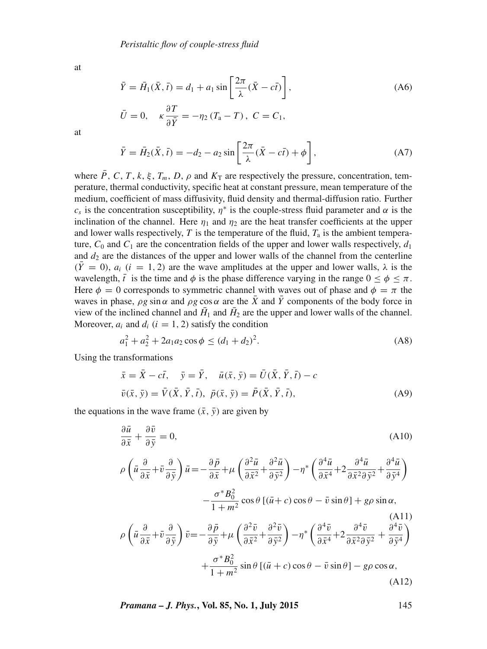at

$$
\bar{Y} = \bar{H}_1(\bar{X}, \bar{t}) = d_1 + a_1 \sin\left[\frac{2\pi}{\lambda}(\bar{X} - c\bar{t})\right],\tag{A6}
$$
\n
$$
\bar{U} = 0, \quad \kappa \frac{\partial T}{\partial \bar{Y}} = -\eta_2 (T_a - T), \quad C = C_1,
$$

at

$$
\bar{Y} = \bar{H}_2(\bar{X}, \bar{t}) = -d_2 - a_2 \sin\left[\frac{2\pi}{\lambda}(\bar{X} - c\bar{t}) + \phi\right],\tag{A7}
$$

where  $\bar{P}$ , C, T, k,  $\xi$ , T<sub>m</sub>, D,  $\rho$  and  $K_T$  are respectively the pressure, concentration, temperature, thermal conductivity, specific heat at constant pressure, mean temperature of the medium, coefficient of mass diffusivity, fluid density and thermal-diffusion ratio. Further  $c_s$  is the concentration susceptibility,  $\eta^*$  is the couple-stress fluid parameter and  $\alpha$  is the inclination of the channel. Here  $\eta_1$  and  $\eta_2$  are the heat transfer coefficients at the upper and lower walls respectively,  $T$  is the temperature of the fluid,  $T_a$  is the ambient temperature,  $C_0$  and  $C_1$  are the concentration fields of the upper and lower walls respectively,  $d_1$ and  $d_2$  are the distances of the upper and lower walls of the channel from the centerline  $(\bar{Y}=0)$ ,  $a_i$   $(i = 1, 2)$  are the wave amplitudes at the upper and lower walls,  $\lambda$  is the wavelength,  $\bar{t}$  is the time and  $\phi$  is the phase difference varying in the range  $0 < \phi < \pi$ . Here  $\phi = 0$  corresponds to symmetric channel with waves out of phase and  $\phi = \pi$  the waves in phase,  $\rho g \sin \alpha$  and  $\rho g \cos \alpha$  are the  $\bar{X}$  and  $\bar{Y}$  components of the body force in view of the inclined channel and  $H_1$  and  $H_2$  are the upper and lower walls of the channel. Moreover,  $a_i$  and  $d_i$  ( $i = 1, 2$ ) satisfy the condition

$$
a_1^2 + a_2^2 + 2a_1a_2\cos\phi \le (d_1 + d_2)^2. \tag{A8}
$$

Using the transformations

$$
\begin{aligned}\n\bar{x} &= \bar{X} - c\bar{t}, \quad \bar{y} = \bar{Y}, \quad \bar{u}(\bar{x}, \bar{y}) = \bar{U}(\bar{X}, \bar{Y}, \bar{t}) - c \\
\bar{v}(\bar{x}, \bar{y}) &= \bar{V}(\bar{X}, \bar{Y}, \bar{t}), \quad \bar{p}(\bar{x}, \bar{y}) = \bar{P}(\bar{X}, \bar{Y}, \bar{t}),\n\end{aligned} \tag{A9}
$$

the equations in the wave frame  $(\bar{x}, \bar{y})$  are given by

$$
\frac{\partial \bar{u}}{\partial \bar{x}} + \frac{\partial \bar{v}}{\partial \bar{y}} = 0,
$$
\n(A10)  
\n
$$
\rho \left( \bar{u} \frac{\partial}{\partial \bar{x}} + \bar{v} \frac{\partial}{\partial \bar{y}} \right) \bar{u} = -\frac{\partial \bar{p}}{\partial \bar{x}} + \mu \left( \frac{\partial^2 \bar{u}}{\partial \bar{x}^2} + \frac{\partial^2 \bar{u}}{\partial \bar{y}^2} \right) - \eta^* \left( \frac{\partial^4 \bar{u}}{\partial \bar{x}^4} + 2 \frac{\partial^4 \bar{u}}{\partial \bar{x}^2 \partial \bar{y}^2} + \frac{\partial^4 \bar{u}}{\partial \bar{y}^4} \right)
$$
\n
$$
- \frac{\sigma^* B_0^2}{1 + m^2} \cos \theta \left[ (\bar{u} + c) \cos \theta - \bar{v} \sin \theta \right] + g \rho \sin \alpha,
$$
\n(A11)  
\n
$$
\rho \left( \bar{u} \frac{\partial}{\partial \bar{x}} + \bar{v} \frac{\partial}{\partial \bar{y}} \right) \bar{v} = -\frac{\partial \bar{p}}{\partial \bar{y}} + \mu \left( \frac{\partial^2 \bar{v}}{\partial \bar{x}^2} + \frac{\partial^2 \bar{v}}{\partial \bar{y}^2} \right) - \eta^* \left( \frac{\partial^4 \bar{v}}{\partial \bar{x}^4} + 2 \frac{\partial^4 \bar{v}}{\partial \bar{x}^2 \partial \bar{y}^2} + \frac{\partial^4 \bar{v}}{\partial \bar{y}^4} \right)
$$
\n
$$
+ \frac{\sigma^* B_0^2}{1 + m^2} \sin \theta \left[ (\bar{u} + c) \cos \theta - \bar{v} \sin \theta \right] - g \rho \cos \alpha,
$$
\n(A12)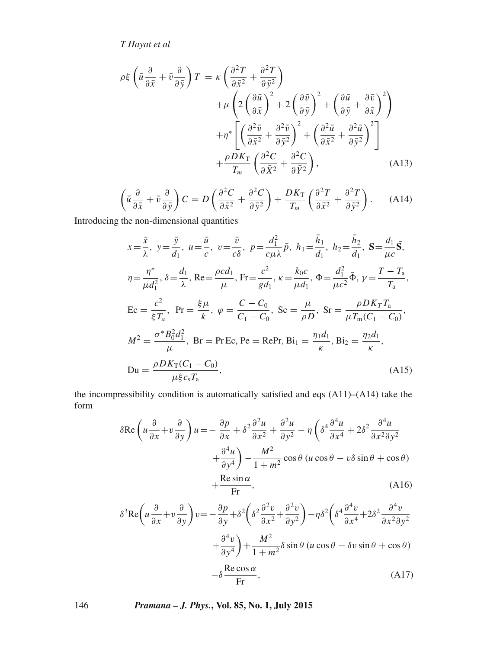$$
\rho \xi \left( \bar{u} \frac{\partial}{\partial \bar{x}} + \bar{v} \frac{\partial}{\partial \bar{y}} \right) T = \kappa \left( \frac{\partial^2 T}{\partial \bar{x}^2} + \frac{\partial^2 T}{\partial \bar{y}^2} \right) \n+ \mu \left( 2 \left( \frac{\partial \bar{u}}{\partial \bar{x}} \right)^2 + 2 \left( \frac{\partial \bar{v}}{\partial \bar{y}} \right)^2 + \left( \frac{\partial \bar{u}}{\partial \bar{y}} + \frac{\partial \bar{v}}{\partial \bar{x}} \right)^2 \right) \n+ \eta^* \left[ \left( \frac{\partial^2 \bar{v}}{\partial \bar{x}^2} + \frac{\partial^2 \bar{v}}{\partial \bar{y}^2} \right)^2 + \left( \frac{\partial^2 \bar{u}}{\partial \bar{x}^2} + \frac{\partial^2 \bar{u}}{\partial \bar{y}^2} \right)^2 \right] \n+ \frac{\rho D K_{\text{T}}}{T_m} \left( \frac{\partial^2 C}{\partial \bar{x}^2} + \frac{\partial^2 C}{\partial \bar{y}^2} \right), \tag{A13}
$$

$$
\left(\bar{u}\frac{\partial}{\partial \bar{x}} + \bar{v}\frac{\partial}{\partial \bar{y}}\right)C = D\left(\frac{\partial^2 C}{\partial \bar{x}^2} + \frac{\partial^2 C}{\partial \bar{y}^2}\right) + \frac{DK_T}{T_m}\left(\frac{\partial^2 T}{\partial \bar{x}^2} + \frac{\partial^2 T}{\partial \bar{y}^2}\right).
$$
 (A14)

Introducing the non-dimensional quantities

$$
x = \frac{\bar{x}}{\lambda}, y = \frac{\bar{y}}{d_1}, u = \frac{\bar{u}}{c}, v = \frac{\bar{v}}{c\delta}, p = \frac{d_1^2}{c\mu\lambda}\bar{p}, h_1 = \frac{\bar{h}_1}{d_1}, h_2 = \frac{\bar{h}_2}{d_1}, S = \frac{d_1}{\mu c}\bar{S},
$$
  
\n
$$
\eta = \frac{\eta^*}{\mu d_1^2}, \delta = \frac{d_1}{\lambda}, \text{Re} = \frac{\rho c d_1}{\mu}, \text{Fr} = \frac{c^2}{g d_1}, \kappa = \frac{k_0 c}{\mu d_1}, \Phi = \frac{d_1^2}{\mu c^2} \bar{\Phi}, \gamma = \frac{T - T_a}{T_a},
$$
  
\nEc =  $\frac{c^2}{\xi T_a}, \text{Pr} = \frac{\xi \mu}{k}, \phi = \frac{C - C_0}{C_1 - C_0}, \text{Sc} = \frac{\mu}{\rho D}, \text{Sr} = \frac{\rho D K_T T_a}{\mu T_m (C_1 - C_0)},$   
\n
$$
M^2 = \frac{\sigma^* B_0^2 d_1^2}{\mu}, \text{Br} = \text{Pr} \text{Ec}, \text{Pe} = \text{Re} \text{Pr}, \text{Bi}_1 = \frac{\eta_1 d_1}{\kappa}, \text{Bi}_2 = \frac{\eta_2 d_1}{\kappa},
$$
  
\nDu =  $\frac{\rho D K_T (C_1 - C_0)}{\mu \xi c_s T_a}, \text{ (A15)}$ 

the incompressibility condition is automatically satisfied and eqs (A11)–(A14) take the form

$$
\delta \text{Re} \left( u \frac{\partial}{\partial x} + v \frac{\partial}{\partial y} \right) u = -\frac{\partial p}{\partial x} + \delta^2 \frac{\partial^2 u}{\partial x^2} + \frac{\partial^2 u}{\partial y^2} - \eta \left( \delta^4 \frac{\partial^4 u}{\partial x^4} + 2 \delta^2 \frac{\partial^4 u}{\partial x^2 \partial y^2} + \frac{\partial^4 u}{\partial y^4} \right) - \frac{M^2}{1 + m^2} \cos \theta \left( u \cos \theta - v \delta \sin \theta + \cos \theta \right) + \frac{\text{Re} \sin \alpha}{\text{Fr}}, \tag{A16}
$$

$$
\delta^3 \text{Re} \left( u \frac{\partial}{\partial x} + v \frac{\partial}{\partial y} \right) v = -\frac{\partial p}{\partial y} + \delta^2 \left( \delta^2 \frac{\partial^2 v}{\partial x^2} + \frac{\partial^2 v}{\partial y^2} \right) - \eta \delta^2 \left( \delta^4 \frac{\partial^4 v}{\partial x^4} + 2 \delta^2 \frac{\partial^4 v}{\partial x^2 \partial y^2} + \frac{\partial^4 v}{\partial y^4} \right) + \frac{M^2}{1 + m^2} \delta \sin \theta \left( u \cos \theta - \delta v \sin \theta + \cos \theta \right) - \delta \frac{\text{Re} \cos \alpha}{\text{Fr}}, \tag{A17}
$$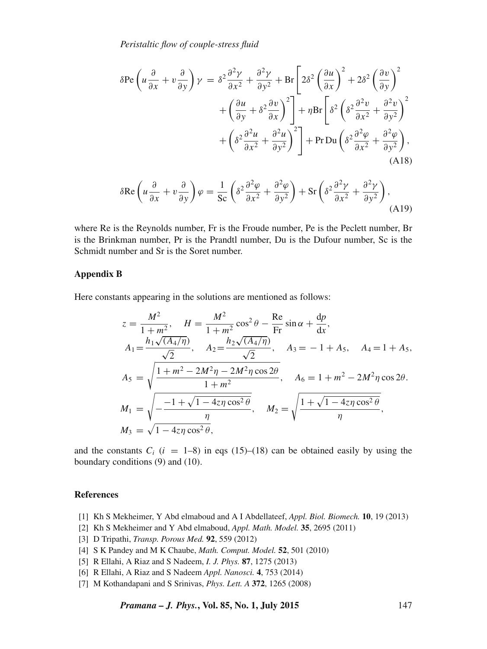*Peristaltic flow of couple-stress fluid*

$$
\delta \text{Pe}\left(u\frac{\partial}{\partial x} + v\frac{\partial}{\partial y}\right)\gamma = \delta^2 \frac{\partial^2 \gamma}{\partial x^2} + \frac{\partial^2 \gamma}{\partial y^2} + \text{Br}\left[2\delta^2 \left(\frac{\partial u}{\partial x}\right)^2 + 2\delta^2 \left(\frac{\partial v}{\partial y}\right)^2 + \left(\frac{\partial u}{\partial y} + \delta^2 \frac{\partial v}{\partial x}\right)^2\right] + \eta \text{Br}\left[\delta^2 \left(\delta^2 \frac{\partial^2 v}{\partial x^2} + \frac{\partial^2 v}{\partial y^2}\right)^2 + \left(\delta^2 \frac{\partial^2 u}{\partial x^2} + \frac{\partial^2 u}{\partial y^2}\right)^2\right] + \text{Pr} \text{Du}\left(\delta^2 \frac{\partial^2 \varphi}{\partial x^2} + \frac{\partial^2 \varphi}{\partial y^2}\right),
$$
\n(A18)

$$
\delta \text{Re}\left(u\frac{\partial}{\partial x} + v\frac{\partial}{\partial y}\right)\varphi = \frac{1}{\text{Sc}}\left(\delta^2 \frac{\partial^2 \varphi}{\partial x^2} + \frac{\partial^2 \varphi}{\partial y^2}\right) + \text{Sr}\left(\delta^2 \frac{\partial^2 \gamma}{\partial x^2} + \frac{\partial^2 \gamma}{\partial y^2}\right),\tag{A19}
$$

where Re is the Reynolds number, Fr is the Froude number, Pe is the Peclett number, Br is the Brinkman number, Pr is the Prandtl number, Du is the Dufour number, Sc is the Schmidt number and Sr is the Soret number.

#### **Appendix B**

Here constants appearing in the solutions are mentioned as follows:

$$
z = \frac{M^2}{1 + m^2}, \quad H = \frac{M^2}{1 + m^2} \cos^2 \theta - \frac{\text{Re}}{\text{Fr}} \sin \alpha + \frac{dp}{dx},
$$
  
\n
$$
A_1 = \frac{h_1 \sqrt{(A_4/\eta)}}{\sqrt{2}}, \quad A_2 = \frac{h_2 \sqrt{(A_4/\eta)}}{\sqrt{2}}, \quad A_3 = -1 + A_5, \quad A_4 = 1 + A_5,
$$
  
\n
$$
A_5 = \sqrt{\frac{1 + m^2 - 2M^2 \eta - 2M^2 \eta \cos 2\theta}{1 + m^2}}, \quad A_6 = 1 + m^2 - 2M^2 \eta \cos 2\theta.
$$
  
\n
$$
M_1 = \sqrt{\frac{-1 + \sqrt{1 - 4z\eta \cos^2 \theta}}{\eta}}, \quad M_2 = \sqrt{\frac{1 + \sqrt{1 - 4z\eta \cos^2 \theta}}{\eta}},
$$
  
\n
$$
M_3 = \sqrt{1 - 4z\eta \cos^2 \theta},
$$

and the constants  $C_i$  ( $i = 1-8$ ) in eqs (15)–(18) can be obtained easily by using the boundary conditions (9) and (10).

#### **References**

- [1] Kh S Mekheimer, Y Abd elmaboud and A I Abdellateef, *Appl. Biol. Biomech.* **10**, 19 (2013)
- [2] Kh S Mekheimer and Y Abd elmaboud, *Appl. Math. Model.* **35**, 2695 (2011)
- [3] D Tripathi, *Transp. Porous Med.* **92**, 559 (2012)
- [4] S K Pandey and M K Chaube, *Math. Comput. Model.* **52**, 501 (2010)
- [5] R Ellahi, A Riaz and S Nadeem, *I. J. Phys.* **87**, 1275 (2013)
- [6] R Ellahi, A Riaz and S Nadeem *Appl. Nanosci.* **4**, 753 (2014)
- [7] M Kothandapani and S Srinivas, *Phys. Lett. A* **372**, 1265 (2008)